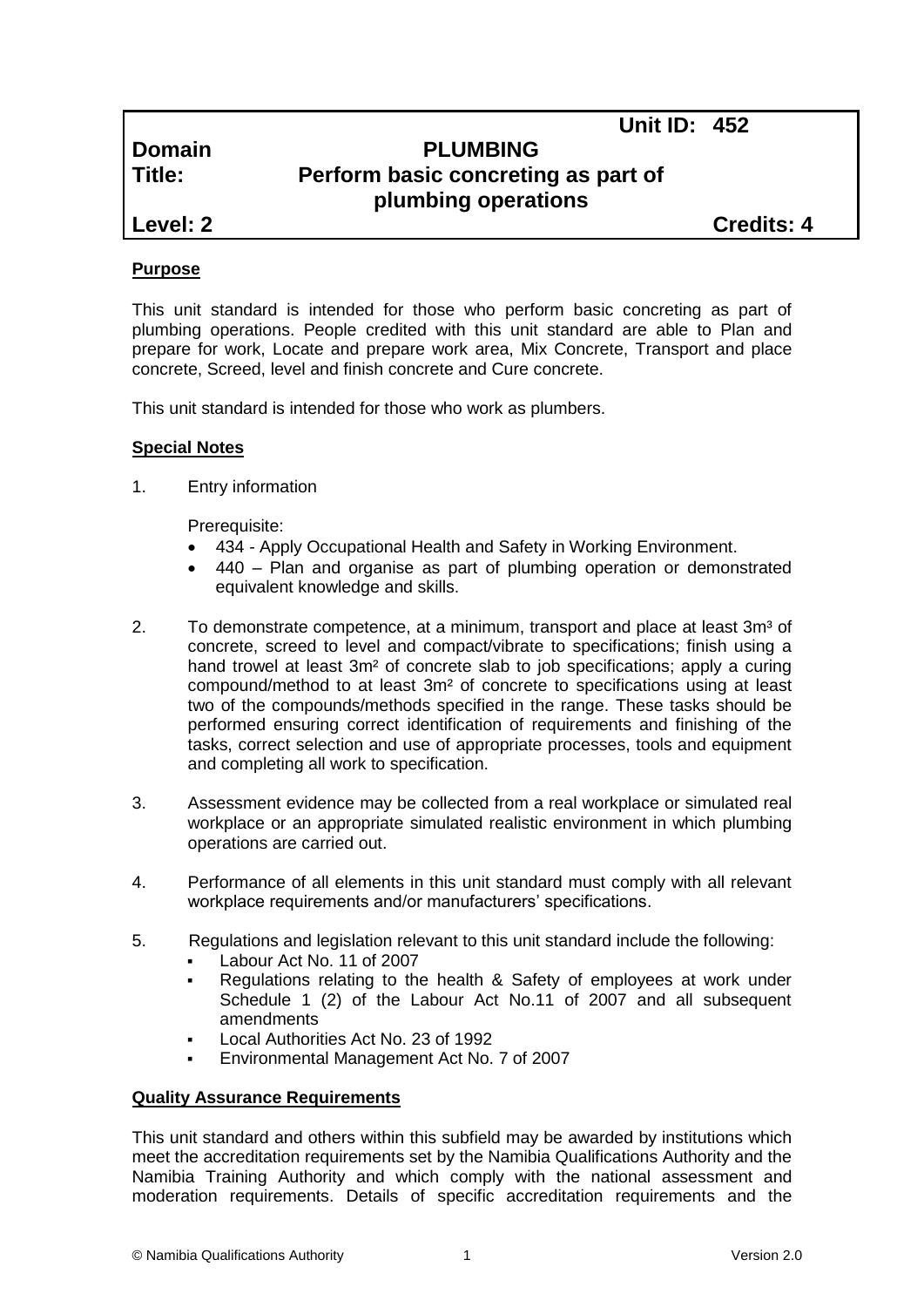**Unit ID: 452**

# **Domain PLUMBING Title: Perform basic concreting as part of plumbing operations**

**Level: 2 Credits: 4**

# **Purpose**

This unit standard is intended for those who perform basic concreting as part of plumbing operations. People credited with this unit standard are able to Plan and prepare for work, Locate and prepare work area, Mix Concrete, Transport and place concrete, Screed, level and finish concrete and Cure concrete.

This unit standard is intended for those who work as plumbers.

# **Special Notes**

1. Entry information

Prerequisite:

- 434 *-* Apply Occupational Health and Safety in Working Environment.
- 440 Plan and organise as part of plumbing operation or demonstrated equivalent knowledge and skills.
- 2. To demonstrate competence, at a minimum, transport and place at least 3m<sup>3</sup> of concrete, screed to level and compact/vibrate to specifications; finish using a hand trowel at least 3m<sup>2</sup> of concrete slab to job specifications; apply a curing compound/method to at least 3m² of concrete to specifications using at least two of the compounds/methods specified in the range. These tasks should be performed ensuring correct identification of requirements and finishing of the tasks, correct selection and use of appropriate processes, tools and equipment and completing all work to specification.
- 3. Assessment evidence may be collected from a real workplace or simulated real workplace or an appropriate simulated realistic environment in which plumbing operations are carried out.
- 4. Performance of all elements in this unit standard must comply with all relevant workplace requirements and/or manufacturers' specifications.
- 5. Regulations and legislation relevant to this unit standard include the following:
	- Labour Act No. 11 of 2007
	- Regulations relating to the health & Safety of employees at work under Schedule 1 (2) of the Labour Act No.11 of 2007 and all subsequent amendments
	- Local Authorities Act No. 23 of 1992
	- Environmental Management Act No. 7 of 2007

#### **Quality Assurance Requirements**

This unit standard and others within this subfield may be awarded by institutions which meet the accreditation requirements set by the Namibia Qualifications Authority and the Namibia Training Authority and which comply with the national assessment and moderation requirements. Details of specific accreditation requirements and the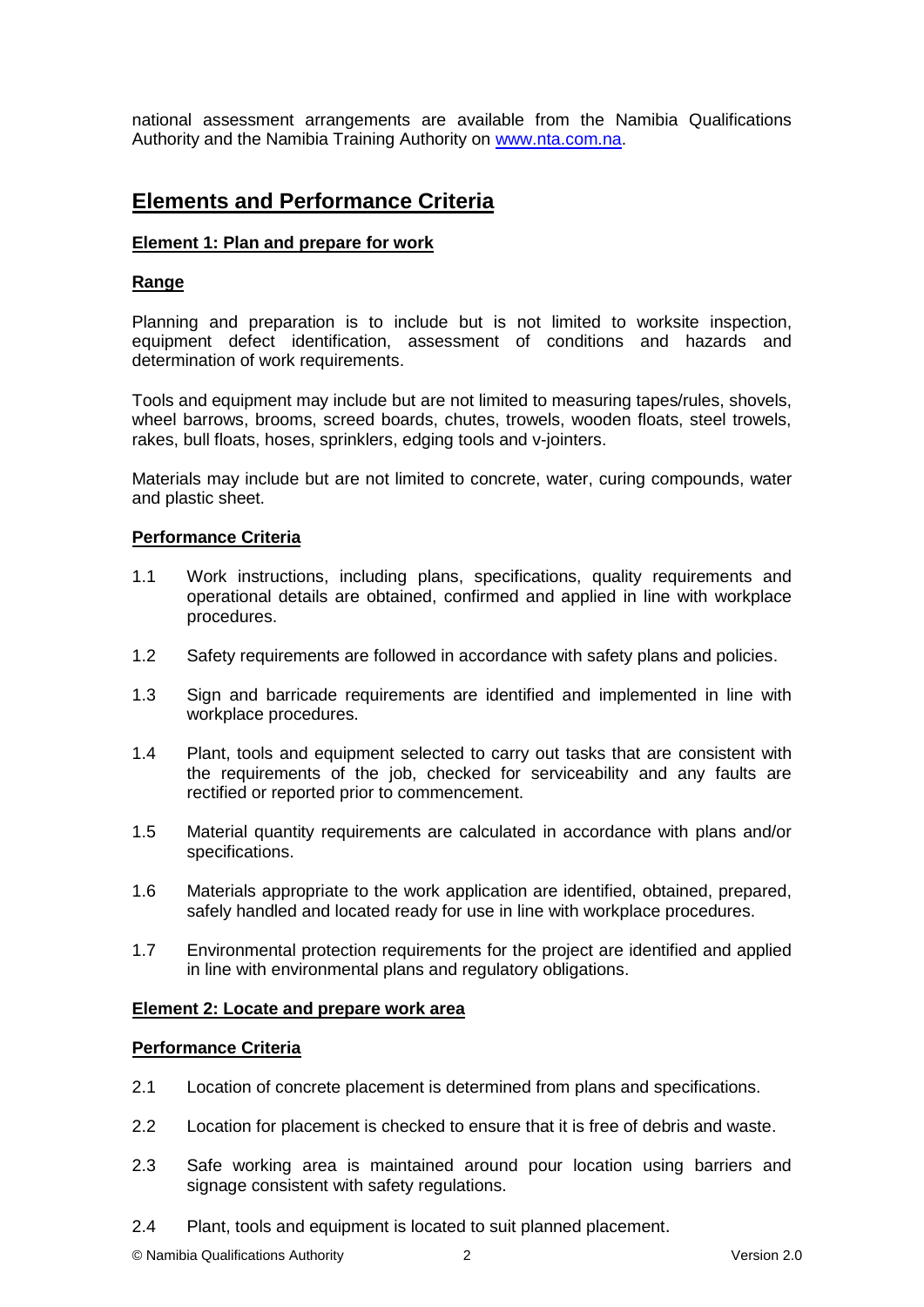national assessment arrangements are available from the Namibia Qualifications Authority and the Namibia Training Authority on [www.nta.com.na.](http://www.nta.com.na/)

# **Elements and Performance Criteria**

# **Element 1: Plan and prepare for work**

# **Range**

Planning and preparation is to include but is not limited to worksite inspection, equipment defect identification, assessment of conditions and hazards and determination of work requirements.

Tools and equipment may include but are not limited to measuring tapes/rules, shovels, wheel barrows, brooms, screed boards, chutes, trowels, wooden floats, steel trowels, rakes, bull floats, hoses, sprinklers, edging tools and v-jointers.

Materials may include but are not limited to concrete, water, curing compounds, water and plastic sheet.

### **Performance Criteria**

- 1.1 Work instructions, including plans, specifications, quality requirements and operational details are obtained, confirmed and applied in line with workplace procedures.
- 1.2 Safety requirements are followed in accordance with safety plans and policies.
- 1.3 Sign and barricade requirements are identified and implemented in line with workplace procedures.
- 1.4 Plant, tools and equipment selected to carry out tasks that are consistent with the requirements of the job, checked for serviceability and any faults are rectified or reported prior to commencement.
- 1.5 Material quantity requirements are calculated in accordance with plans and/or specifications.
- 1.6 Materials appropriate to the work application are identified, obtained, prepared, safely handled and located ready for use in line with workplace procedures.
- 1.7 Environmental protection requirements for the project are identified and applied in line with environmental plans and regulatory obligations.

#### **Element 2: Locate and prepare work area**

#### **Performance Criteria**

- 2.1 Location of concrete placement is determined from plans and specifications.
- 2.2 Location for placement is checked to ensure that it is free of debris and waste.
- 2.3 Safe working area is maintained around pour location using barriers and signage consistent with safety regulations.
- 2.4 Plant, tools and equipment is located to suit planned placement.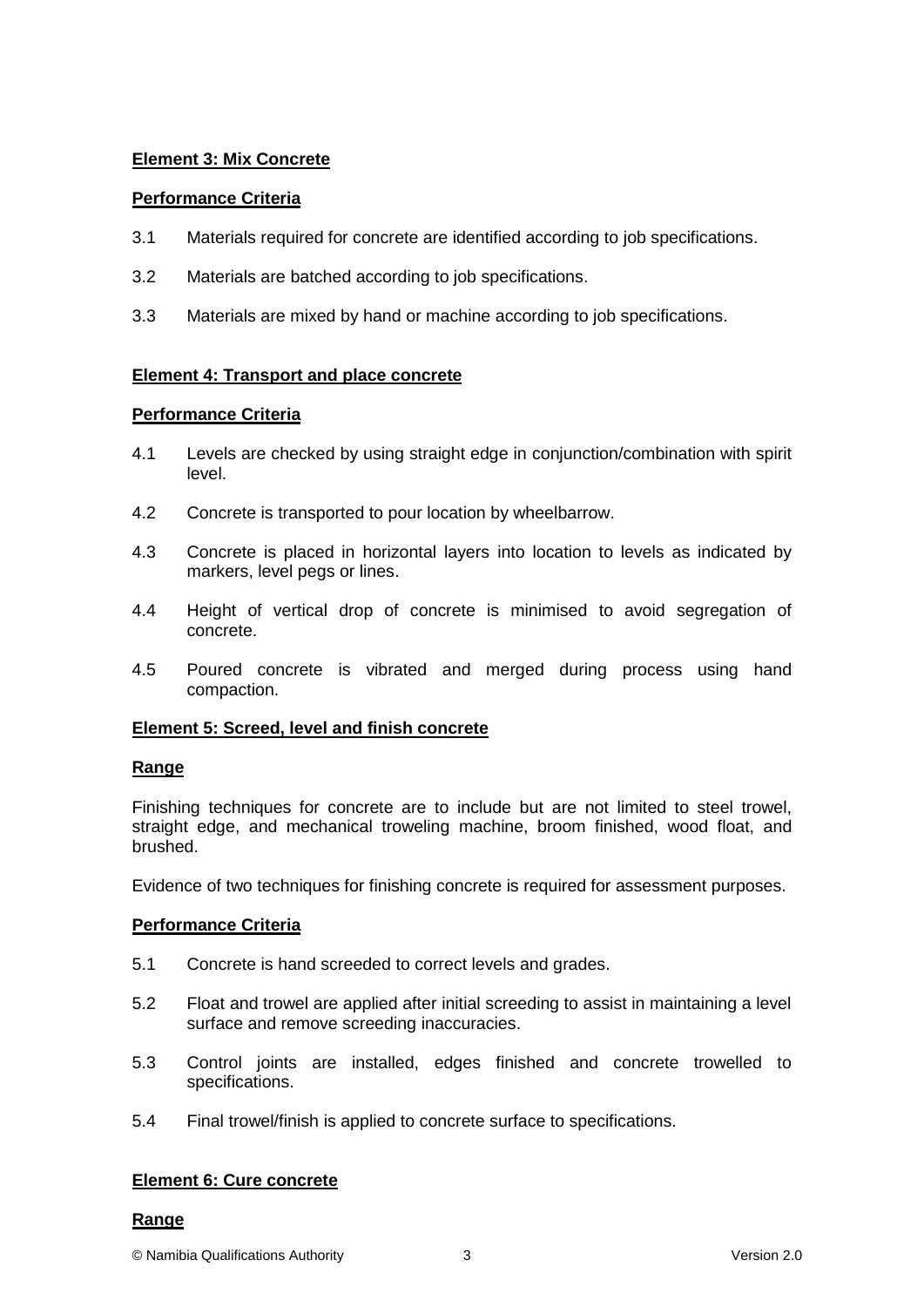# **Element 3: Mix Concrete**

# **Performance Criteria**

- 3.1 Materials required for concrete are identified according to job specifications.
- 3.2 Materials are batched according to job specifications.
- 3.3 Materials are mixed by hand or machine according to job specifications.

# **Element 4: Transport and place concrete**

# **Performance Criteria**

- 4.1 Levels are checked by using straight edge in conjunction/combination with spirit level.
- 4.2 Concrete is transported to pour location by wheelbarrow.
- 4.3 Concrete is placed in horizontal layers into location to levels as indicated by markers, level pegs or lines.
- 4.4 Height of vertical drop of concrete is minimised to avoid segregation of concrete.
- 4.5 Poured concrete is vibrated and merged during process using hand compaction.

# **Element 5: Screed, level and finish concrete**

# **Range**

Finishing techniques for concrete are to include but are not limited to steel trowel, straight edge, and mechanical troweling machine, broom finished, wood float, and brushed.

Evidence of two techniques for finishing concrete is required for assessment purposes.

# **Performance Criteria**

- 5.1 Concrete is hand screeded to correct levels and grades.
- 5.2 Float and trowel are applied after initial screeding to assist in maintaining a level surface and remove screeding inaccuracies.
- 5.3 Control joints are installed, edges finished and concrete trowelled to specifications.
- 5.4 Final trowel/finish is applied to concrete surface to specifications.

# **Element 6: Cure concrete**

#### **Range**